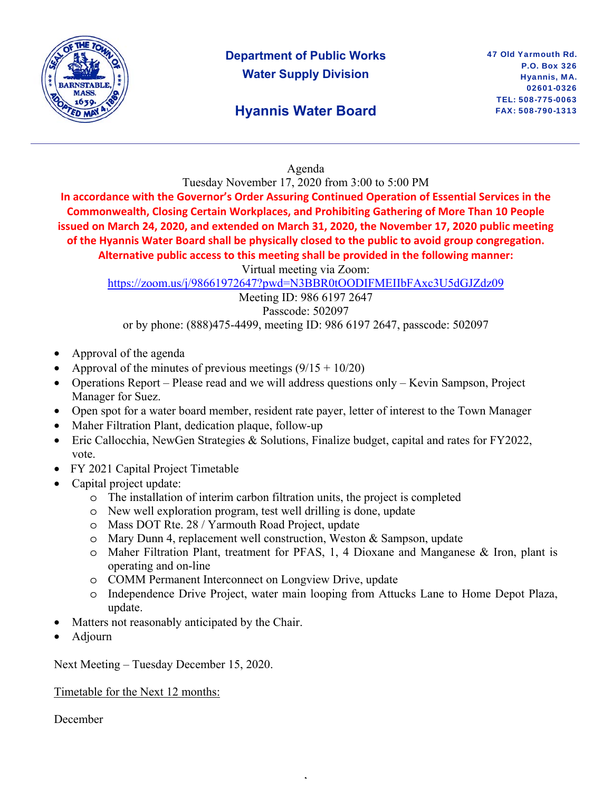

# **Department of Public Works Water Supply Division**

# **Hyannis Water Board**

### Agenda

Tuesday November 17, 2020 from 3:00 to 5:00 PM

**In accordance with the Governor's Order Assuring Continued Operation of Essential Services in the Commonwealth, Closing Certain Workplaces, and Prohibiting Gathering of More Than 10 People issued on March 24, 2020, and extended on March 31, 2020, the November 17, 2020 public meeting of the Hyannis Water Board shall be physically closed to the public to avoid group congregation. Alternative public access to this meeting shall be provided in the following manner:** 

Virtual meeting via Zoom:

https://zoom.us/j/98661972647?pwd=N3BBR0tOODIFMEIIbFAxc3U5dGJZdz09

Meeting ID: 986 6197 2647 Passcode: 502097

or by phone: (888)475-4499, meeting ID: 986 6197 2647, passcode: 502097

- Approval of the agenda
- Approval of the minutes of previous meetings  $(9/15 + 10/20)$
- Operations Report Please read and we will address questions only Kevin Sampson, Project Manager for Suez.
- Open spot for a water board member, resident rate payer, letter of interest to the Town Manager
- Maher Filtration Plant, dedication plaque, follow-up
- Eric Callocchia, NewGen Strategies & Solutions, Finalize budget, capital and rates for FY2022, vote.
- FY 2021 Capital Project Timetable
- Capital project update:
	- o The installation of interim carbon filtration units, the project is completed
	- o New well exploration program, test well drilling is done, update
	- o Mass DOT Rte. 28 / Yarmouth Road Project, update
	- o Mary Dunn 4, replacement well construction, Weston & Sampson, update
	- o Maher Filtration Plant, treatment for PFAS, 1, 4 Dioxane and Manganese & Iron, plant is operating and on-line
	- o COMM Permanent Interconnect on Longview Drive, update
	- o Independence Drive Project, water main looping from Attucks Lane to Home Depot Plaza, update.

,

- Matters not reasonably anticipated by the Chair.
- Adjourn

Next Meeting – Tuesday December 15, 2020.

Timetable for the Next 12 months:

December